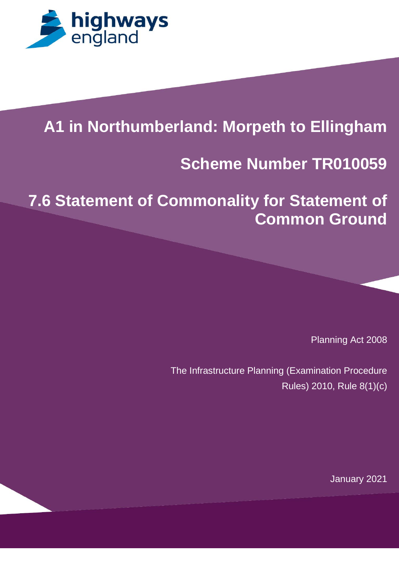

# **A1 in Northumberland: Morpeth to Ellingham**

 $\mathbf{A} = \mathbf{A} \mathbf{B}$  and  $\mathbf{A} = \mathbf{A} \mathbf{B}$  and  $\mathbf{A} = \mathbf{A} \mathbf{B}$  and  $\mathbf{A} = \mathbf{A} \mathbf{B}$  and  $\mathbf{A} = \mathbf{A} \mathbf{B}$ 

### Regulation 5(2)(q) Infrastructure Planning (Applications: Prescribed **Scheme Number TR010059**

**[Scheme Name]**

*Figure 1993* 

**7.6 Statement of Commonality for Statement of Common Ground**

Planning Act 2008

The Infrastructure Planning (Examination Procedure Rules) 2010, Rule 8(1)(c)

January 2021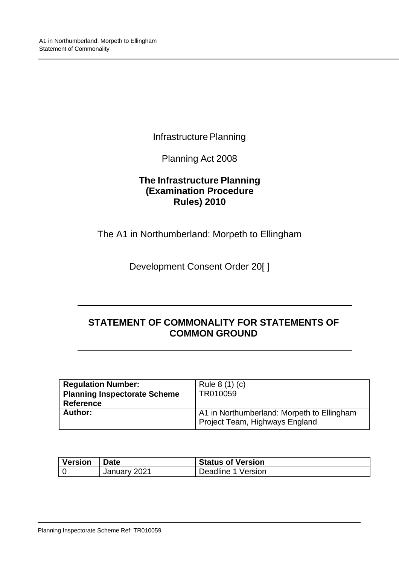Infrastructure Planning

Planning Act 2008

### **The Infrastructure Planning (Examination Procedure Rules) 2010**

The A1 in Northumberland: Morpeth to Ellingham

Development Consent Order 20[ ]

# **STATEMENT OF COMMONALITY FOR STATEMENTS OF COMMON GROUND**

| <b>Regulation Number:</b>           | Rule 8 (1) (c)                             |
|-------------------------------------|--------------------------------------------|
| <b>Planning Inspectorate Scheme</b> | TR010059                                   |
| <b>Reference</b>                    |                                            |
| Author:                             | A1 in Northumberland: Morpeth to Ellingham |
|                                     | Project Team, Highways England             |

| <b>Version</b> | <b>Date</b>  | <b>Status of Version</b> |
|----------------|--------------|--------------------------|
|                | January 2021 | Deadline 1 Version       |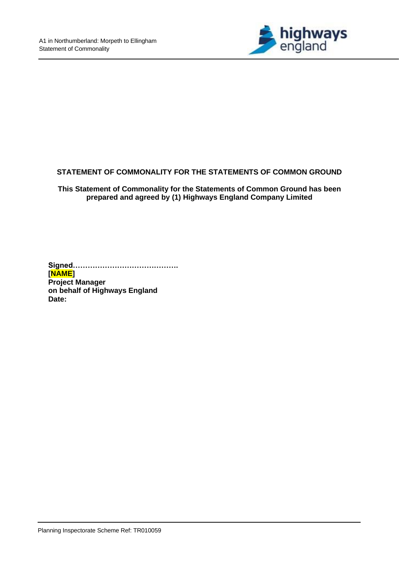

#### **STATEMENT OF COMMONALITY FOR THE STATEMENTS OF COMMON GROUND**

**This Statement of Commonality for the Statements of Common Ground has been prepared and agreed by (1) Highways England Company Limited** 

**Signed……………………………………. [NAME] Project Manager on behalf of Highways England Date:**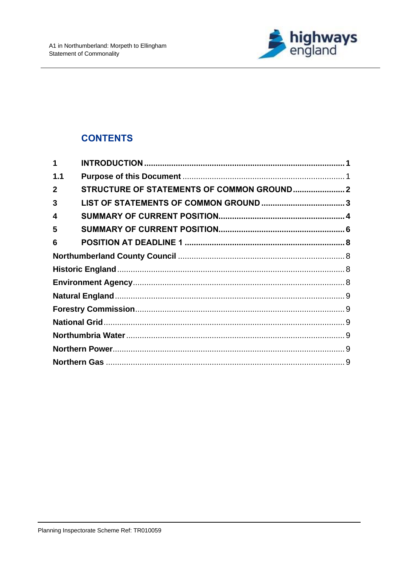

# **CONTENTS**

| 1            |                                            |  |
|--------------|--------------------------------------------|--|
| 1.1          |                                            |  |
| $\mathbf{2}$ | STRUCTURE OF STATEMENTS OF COMMON GROUND 2 |  |
| 3            |                                            |  |
| 4            |                                            |  |
| 5            |                                            |  |
| 6            |                                            |  |
|              |                                            |  |
|              |                                            |  |
|              |                                            |  |
|              |                                            |  |
|              |                                            |  |
|              |                                            |  |
|              |                                            |  |
|              |                                            |  |
|              |                                            |  |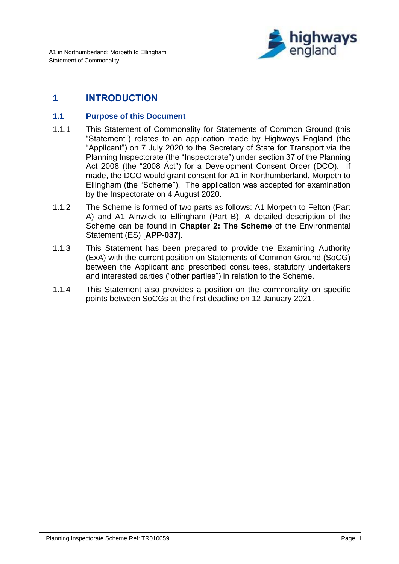

# <span id="page-4-0"></span>**1 INTRODUCTION**

#### <span id="page-4-1"></span>**1.1 Purpose of this Document**

- 1.1.1 This Statement of Commonality for Statements of Common Ground (this "Statement") relates to an application made by Highways England (the "Applicant") on 7 July 2020 to the Secretary of State for Transport via the Planning Inspectorate (the "Inspectorate") under section 37 of the Planning Act 2008 (the "2008 Act") for a Development Consent Order (DCO). If made, the DCO would grant consent for A1 in Northumberland, Morpeth to Ellingham (the "Scheme"). The application was accepted for examination by the Inspectorate on 4 August 2020.
- 1.1.2 The Scheme is formed of two parts as follows: A1 Morpeth to Felton (Part A) and A1 Alnwick to Ellingham (Part B). A detailed description of the Scheme can be found in **Chapter 2: The Scheme** of the Environmental Statement (ES) [**APP-037**].
- 1.1.3 This Statement has been prepared to provide the Examining Authority (ExA) with the current position on Statements of Common Ground (SoCG) between the Applicant and prescribed consultees, statutory undertakers and interested parties ("other parties") in relation to the Scheme.
- 1.1.4 This Statement also provides a position on the commonality on specific points between SoCGs at the first deadline on 12 January 2021.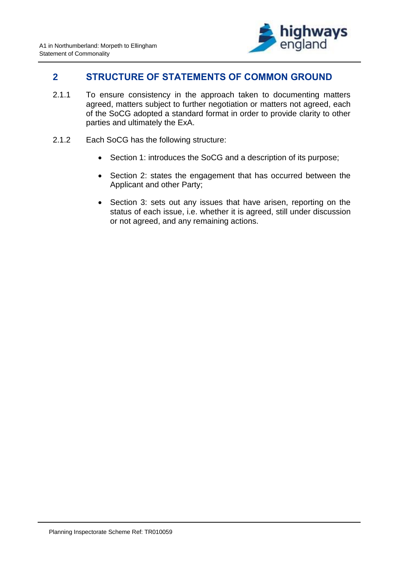

### <span id="page-5-0"></span>**2 STRUCTURE OF STATEMENTS OF COMMON GROUND**

- 2.1.1 To ensure consistency in the approach taken to documenting matters agreed, matters subject to further negotiation or matters not agreed, each of the SoCG adopted a standard format in order to provide clarity to other parties and ultimately the ExA.
- 2.1.2 Each SoCG has the following structure:
	- Section 1: introduces the SoCG and a description of its purpose;
	- Section 2: states the engagement that has occurred between the Applicant and other Party;
	- Section 3: sets out any issues that have arisen, reporting on the status of each issue, i.e. whether it is agreed, still under discussion or not agreed, and any remaining actions.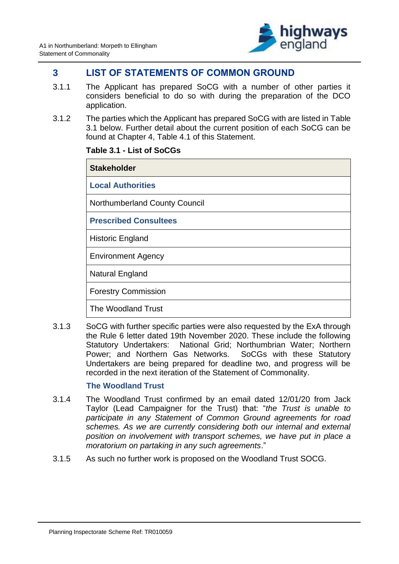

### <span id="page-6-0"></span>**3 LIST OF STATEMENTS OF COMMON GROUND**

- 3.1.1 The Applicant has prepared SoCG with a number of other parties it considers beneficial to do so with during the preparation of the DCO application.
- 3.1.2 The parties which the Applicant has prepared SoCG with are listed in Table 3.1 below. Further detail about the current position of each SoCG can be found at Chapter 4, Table 4.1 of this Statement.

#### **Table 3.1 - List of SoCGs**

| <b>Stakeholder</b>            |
|-------------------------------|
| <b>Local Authorities</b>      |
| Northumberland County Council |
| <b>Prescribed Consultees</b>  |
| <b>Historic England</b>       |
| <b>Environment Agency</b>     |
| <b>Natural England</b>        |
| <b>Forestry Commission</b>    |
| The Woodland Trust            |

3.1.3 SoCG with further specific parties were also requested by the ExA through the Rule 6 letter dated 19th November 2020. These include the following Statutory Undertakers: National Grid; Northumbrian Water; Northern Power; and Northern Gas Networks. SoCGs with these Statutory Undertakers are being prepared for deadline two, and progress will be recorded in the next iteration of the Statement of Commonality.

#### **The Woodland Trust**

- 3.1.4 The Woodland Trust confirmed by an email dated 12/01/20 from Jack Taylor (Lead Campaigner for the Trust) that: "*the Trust is unable to participate in any Statement of Common Ground agreements for road schemes. As we are currently considering both our internal and external position on involvement with transport schemes, we have put in place a moratorium on partaking in any such agreements*."
- 3.1.5 As such no further work is proposed on the Woodland Trust SOCG.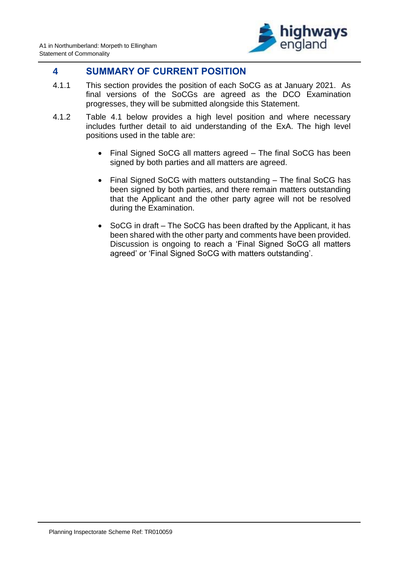

### <span id="page-7-0"></span>**4 SUMMARY OF CURRENT POSITION**

- 4.1.1 This section provides the position of each SoCG as at January 2021. As final versions of the SoCGs are agreed as the DCO Examination progresses, they will be submitted alongside this Statement.
- 4.1.2 Table 4.1 below provides a high level position and where necessary includes further detail to aid understanding of the ExA. The high level positions used in the table are:
	- Final Signed SoCG all matters agreed The final SoCG has been signed by both parties and all matters are agreed.
	- Final Signed SoCG with matters outstanding The final SoCG has been signed by both parties, and there remain matters outstanding that the Applicant and the other party agree will not be resolved during the Examination.
	- SoCG in draft The SoCG has been drafted by the Applicant, it has been shared with the other party and comments have been provided. Discussion is ongoing to reach a 'Final Signed SoCG all matters agreed' or 'Final Signed SoCG with matters outstanding'.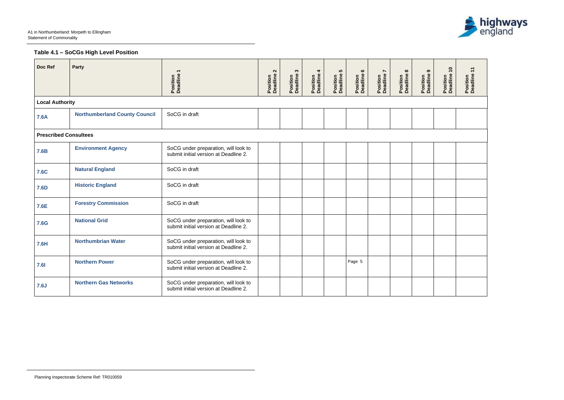$\overline{a}$ 



# **Table 4.1 – SoCGs High Level Position**

| Doc Ref                      | <b>Party</b>                         | Position<br>Deadline 1                                                        | $\sim$<br>Position<br>Deadline | S<br>Position<br>Deadline | Position<br>Deadline 4 | 5<br>Position<br>Deadline! | $\bullet$<br>Position<br>Deadline | $\overline{ }$<br>Position<br>Deadline | $\infty$<br>Position<br>Deadline | ၜ<br>Position<br>Deadline 9 | $\overline{\phantom{0}}$<br>Position<br>Deadline | Position<br>Deadline |
|------------------------------|--------------------------------------|-------------------------------------------------------------------------------|--------------------------------|---------------------------|------------------------|----------------------------|-----------------------------------|----------------------------------------|----------------------------------|-----------------------------|--------------------------------------------------|----------------------|
| <b>Local Authority</b>       |                                      |                                                                               |                                |                           |                        |                            |                                   |                                        |                                  |                             |                                                  |                      |
| <b>7.6A</b>                  | <b>Northumberland County Council</b> | SoCG in draft                                                                 |                                |                           |                        |                            |                                   |                                        |                                  |                             |                                                  |                      |
| <b>Prescribed Consultees</b> |                                      |                                                                               |                                |                           |                        |                            |                                   |                                        |                                  |                             |                                                  |                      |
| <b>7.6B</b>                  | <b>Environment Agency</b>            | SoCG under preparation, will look to<br>submit initial version at Deadline 2. |                                |                           |                        |                            |                                   |                                        |                                  |                             |                                                  |                      |
| <b>7.6C</b>                  | <b>Natural England</b>               | SoCG in draft                                                                 |                                |                           |                        |                            |                                   |                                        |                                  |                             |                                                  |                      |
| <b>7.6D</b>                  | <b>Historic England</b>              | SoCG in draft                                                                 |                                |                           |                        |                            |                                   |                                        |                                  |                             |                                                  |                      |
| 7.6E                         | <b>Forestry Commission</b>           | SoCG in draft                                                                 |                                |                           |                        |                            |                                   |                                        |                                  |                             |                                                  |                      |
| <b>7.6G</b>                  | <b>National Grid</b>                 | SoCG under preparation, will look to<br>submit initial version at Deadline 2. |                                |                           |                        |                            |                                   |                                        |                                  |                             |                                                  |                      |
| <b>7.6H</b>                  | <b>Northumbrian Water</b>            | SoCG under preparation, will look to<br>submit initial version at Deadline 2. |                                |                           |                        |                            |                                   |                                        |                                  |                             |                                                  |                      |
| <b>7.61</b>                  | <b>Northern Power</b>                | SoCG under preparation, will look to<br>submit initial version at Deadline 2. |                                |                           |                        |                            | Page 5                            |                                        |                                  |                             |                                                  |                      |
| 7.6J                         | <b>Northern Gas Networks</b>         | SoCG under preparation, will look to<br>submit initial version at Deadline 2. |                                |                           |                        |                            |                                   |                                        |                                  |                             |                                                  |                      |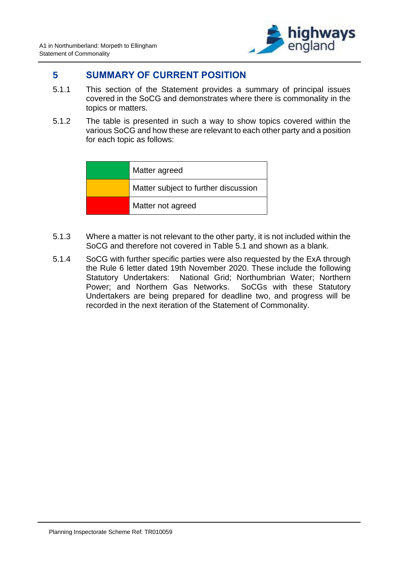

## <span id="page-9-0"></span>**5 SUMMARY OF CURRENT POSITION**

- 5.1.1 This section of the Statement provides a summary of principal issues covered in the SoCG and demonstrates where there is commonality in the topics or matters.
- 5.1.2 The table is presented in such a way to show topics covered within the various SoCG and how these are relevant to each other party and a position for each topic as follows:

| Matter agreed                        |
|--------------------------------------|
| Matter subject to further discussion |
| Matter not agreed                    |

- 5.1.3 Where a matter is not relevant to the other party, it is not included within the SoCG and therefore not covered in Table 5.1 and shown as a blank.
- 5.1.4 SoCG with further specific parties were also requested by the ExA through the Rule 6 letter dated 19th November 2020. These include the following Statutory Undertakers: National Grid; Northumbrian Water; Northern Power; and Northern Gas Networks. SoCGs with these Statutory Undertakers are being prepared for deadline two, and progress will be recorded in the next iteration of the Statement of Commonality.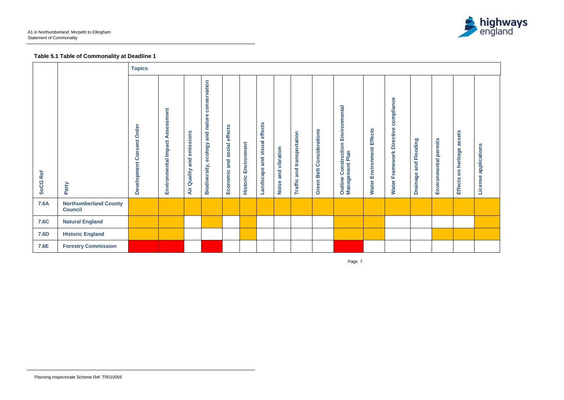Page 7



# **Table 5.1 Table of Commonality at Deadline 1**

|                    |                                                | <b>Topics</b>                                           |                                             |                                    |                                                     |                                      |                                |                                       |                           |                               |                                 |                                                                        |                                  |                                                      |                                    |                          |                                         |                                        |
|--------------------|------------------------------------------------|---------------------------------------------------------|---------------------------------------------|------------------------------------|-----------------------------------------------------|--------------------------------------|--------------------------------|---------------------------------------|---------------------------|-------------------------------|---------------------------------|------------------------------------------------------------------------|----------------------------------|------------------------------------------------------|------------------------------------|--------------------------|-----------------------------------------|----------------------------------------|
| Ref<br><b>SoCG</b> | Party                                          | Order<br>onsent<br>$\overline{O}$<br><b>Development</b> | sessment<br>ဖာ<br>⋖<br>Environmental Impact | emissions<br>and<br>Quality<br>Air | and nature conservation<br>ecology<br>Biodiversity, | effects<br>social<br>and<br>Economic | Environment<br><b>Historic</b> | effects<br>visual<br>and<br>Landscape | vibration<br>and<br>Noise | and transportation<br>Traffic | Considerations<br>Belt<br>Green | Environmental<br>Construction<br>Outline Constructi<br>Management Plan | <b>Water Environment Effects</b> | compliance<br><b>Directive</b><br>Framework<br>Water | Flooding<br>and<br><b>Drainage</b> | permits<br>Environmental | assets<br>on heritage<br><b>Effects</b> | applications<br>$\mathbf{d}$<br>Licens |
| <b>7.6A</b>        | <b>Northumberland County</b><br><b>Council</b> |                                                         |                                             |                                    |                                                     |                                      |                                |                                       |                           |                               |                                 |                                                                        |                                  |                                                      |                                    |                          |                                         |                                        |
| <b>7.6C</b>        | <b>Natural England</b>                         |                                                         |                                             |                                    |                                                     |                                      |                                |                                       |                           |                               |                                 |                                                                        |                                  |                                                      |                                    |                          |                                         |                                        |
| <b>7.6D</b>        | <b>Historic England</b>                        |                                                         |                                             |                                    |                                                     |                                      |                                |                                       |                           |                               |                                 |                                                                        |                                  |                                                      |                                    |                          |                                         |                                        |
| 7.6E               | <b>Forestry Commission</b>                     |                                                         |                                             |                                    |                                                     |                                      |                                |                                       |                           |                               |                                 |                                                                        |                                  |                                                      |                                    |                          |                                         |                                        |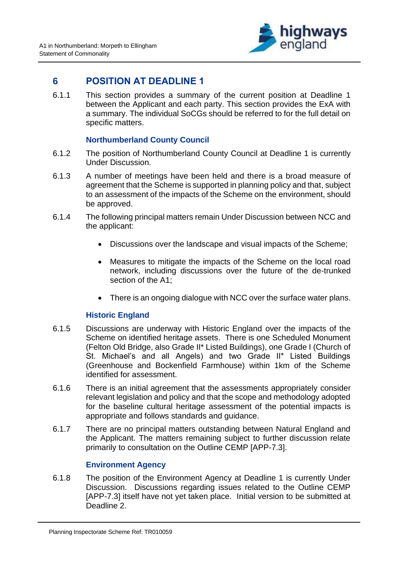

## <span id="page-11-0"></span>**6 POSITION AT DEADLINE 1**

6.1.1 This section provides a summary of the current position at Deadline 1 between the Applicant and each party. This section provides the ExA with a summary. The individual SoCGs should be referred to for the full detail on specific matters.

#### **Northumberland County Council**

- <span id="page-11-1"></span>6.1.2 The position of Northumberland County Council at Deadline 1 is currently Under Discussion.
- 6.1.3 A number of meetings have been held and there is a broad measure of agreement that the Scheme is supported in planning policy and that, subject to an assessment of the impacts of the Scheme on the environment, should be approved.
- 6.1.4 The following principal matters remain Under Discussion between NCC and the applicant:
	- Discussions over the landscape and visual impacts of the Scheme;
	- Measures to mitigate the impacts of the Scheme on the local road network, including discussions over the future of the de-trunked section of the A1;
	- There is an ongoing dialogue with NCC over the surface water plans.

### **Historic England**

- <span id="page-11-2"></span>6.1.5 Discussions are underway with Historic England over the impacts of the Scheme on identified heritage assets. There is one Scheduled Monument (Felton Old Bridge, also Grade II\* Listed Buildings), one Grade I (Church of St. Michael's and all Angels) and two Grade II\* Listed Buildings (Greenhouse and Bockenfield Farmhouse) within 1km of the Scheme identified for assessment.
- 6.1.6 There is an initial agreement that the assessments appropriately consider relevant legislation and policy and that the scope and methodology adopted for the baseline cultural heritage assessment of the potential impacts is appropriate and follows standards and guidance.
- 6.1.7 There are no principal matters outstanding between Natural England and the Applicant. The matters remaining subject to further discussion relate primarily to consultation on the Outline CEMP [APP-7.3].

### **Environment Agency**

<span id="page-11-3"></span>6.1.8 The position of the Environment Agency at Deadline 1 is currently Under Discussion. Discussions regarding issues related to the Outline CEMP [APP-7.3] itself have not yet taken place. Initial version to be submitted at Deadline 2.